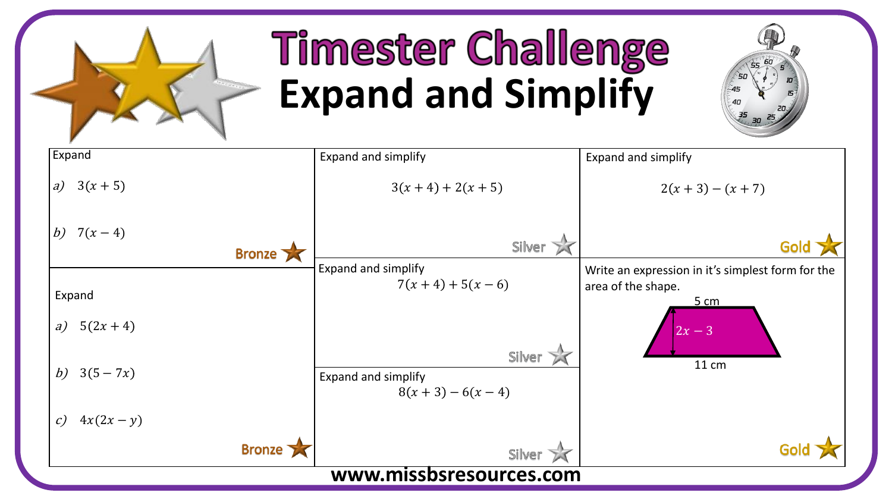

## **Timester Challenge Expand and Simplify**